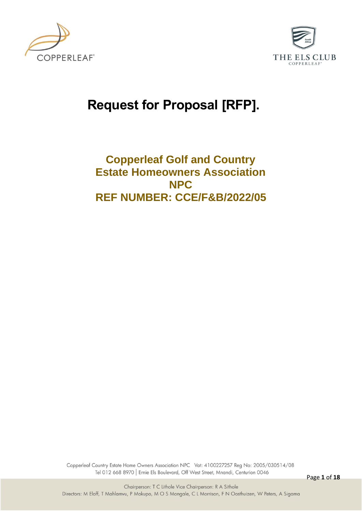



# **Request for Proposal [RFP].**

## **Copperleaf Golf and Country Estate Homeowners Association NPC REF NUMBER: CCE/F&B/2022/05**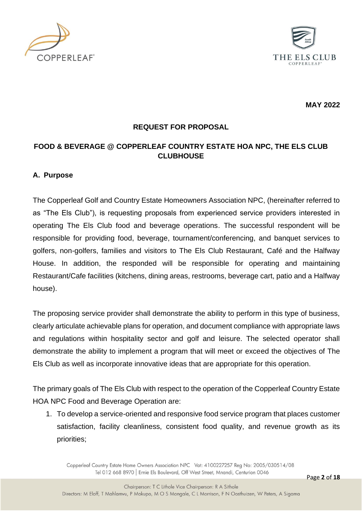



**MAY 2022**

#### **REQUEST FOR PROPOSAL**

#### **FOOD & BEVERAGE @ COPPERLEAF COUNTRY ESTATE HOA NPC, THE ELS CLUB CLUBHOUSE**

#### **A. Purpose**

The Copperleaf Golf and Country Estate Homeowners Association NPC, (hereinafter referred to as "The Els Club"), is requesting proposals from experienced service providers interested in operating The Els Club food and beverage operations. The successful respondent will be responsible for providing food, beverage, tournament/conferencing, and banquet services to golfers, non-golfers, families and visitors to The Els Club Restaurant, Café and the Halfway House. In addition, the responded will be responsible for operating and maintaining Restaurant/Cafe facilities (kitchens, dining areas, restrooms, beverage cart, patio and a Halfway house).

The proposing service provider shall demonstrate the ability to perform in this type of business, clearly articulate achievable plans for operation, and document compliance with appropriate laws and regulations within hospitality sector and golf and leisure. The selected operator shall demonstrate the ability to implement a program that will meet or exceed the objectives of The Els Club as well as incorporate innovative ideas that are appropriate for this operation.

The primary goals of The Els Club with respect to the operation of the Copperleaf Country Estate HOA NPC Food and Beverage Operation are:

1. To develop a service-oriented and responsive food service program that places customer satisfaction, facility cleanliness, consistent food quality, and revenue growth as its priorities;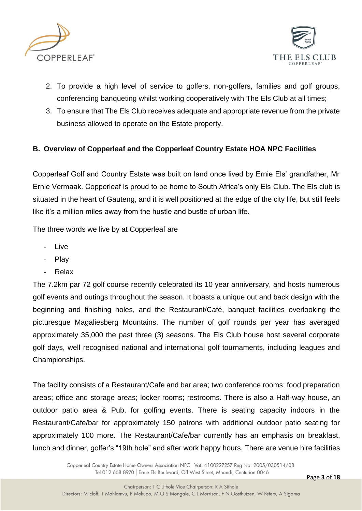



- 2. To provide a high level of service to golfers, non-golfers, families and golf groups, conferencing banqueting whilst working cooperatively with The Els Club at all times;
- 3. To ensure that The Els Club receives adequate and appropriate revenue from the private business allowed to operate on the Estate property.

#### **B. Overview of Copperleaf and the Copperleaf Country Estate HOA NPC Facilities**

Copperleaf Golf and Country Estate was built on land once lived by Ernie Els' grandfather, Mr Ernie Vermaak. Copperleaf is proud to be home to South Africa's only Els Club. The Els club is situated in the heart of Gauteng, and it is well positioned at the edge of the city life, but still feels like it's a million miles away from the hustle and bustle of urban life.

The three words we live by at Copperleaf are

- **Live**
- Play
- Relax

The 7.2km par 72 golf course recently celebrated its 10 year anniversary, and hosts numerous golf events and outings throughout the season. It boasts a unique out and back design with the beginning and finishing holes, and the Restaurant/Café, banquet facilities overlooking the picturesque Magaliesberg Mountains. The number of golf rounds per year has averaged approximately 35,000 the past three (3) seasons. The Els Club house host several corporate golf days, well recognised national and international golf tournaments, including leagues and Championships.

The facility consists of a Restaurant/Cafe and bar area; two conference rooms; food preparation areas; office and storage areas; locker rooms; restrooms. There is also a Half-way house, an outdoor patio area & Pub, for golfing events. There is seating capacity indoors in the Restaurant/Cafe/bar for approximately 150 patrons with additional outdoor patio seating for approximately 100 more. The Restaurant/Cafe/bar currently has an emphasis on breakfast, lunch and dinner, golfer's "19th hole" and after work happy hours. There are venue hire facilities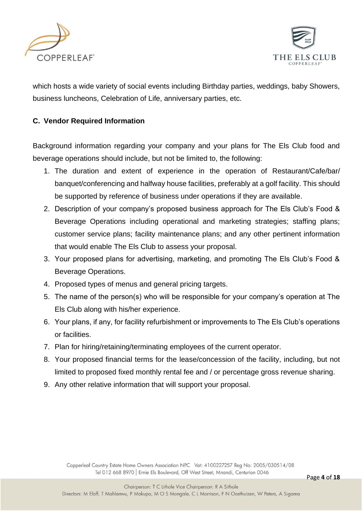



which hosts a wide variety of social events including Birthday parties, weddings, baby Showers, business luncheons, Celebration of Life, anniversary parties, etc.

#### **C. Vendor Required Information**

Background information regarding your company and your plans for The Els Club food and beverage operations should include, but not be limited to, the following:

- 1. The duration and extent of experience in the operation of Restaurant/Cafe/bar/ banquet/conferencing and halfway house facilities, preferably at a golf facility. This should be supported by reference of business under operations if they are available.
- 2. Description of your company's proposed business approach for The Els Club's Food & Beverage Operations including operational and marketing strategies; staffing plans; customer service plans; facility maintenance plans; and any other pertinent information that would enable The Els Club to assess your proposal.
- 3. Your proposed plans for advertising, marketing, and promoting The Els Club's Food & Beverage Operations.
- 4. Proposed types of menus and general pricing targets.
- 5. The name of the person(s) who will be responsible for your company's operation at The Els Club along with his/her experience.
- 6. Your plans, if any, for facility refurbishment or improvements to The Els Club's operations or facilities.
- 7. Plan for hiring/retaining/terminating employees of the current operator.
- 8. Your proposed financial terms for the lease/concession of the facility, including, but not limited to proposed fixed monthly rental fee and / or percentage gross revenue sharing.
- 9. Any other relative information that will support your proposal.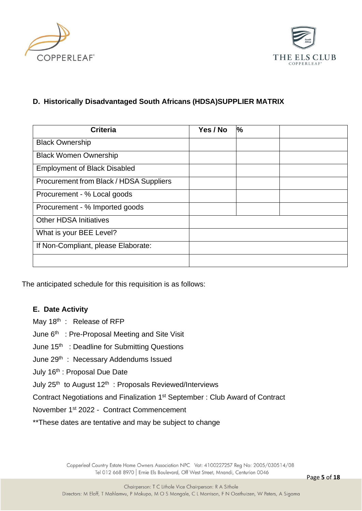



#### **D. Historically Disadvantaged South Africans (HDSA)SUPPLIER MATRIX**

| <b>Criteria</b>                         | Yes / No | $\frac{1}{6}$ |
|-----------------------------------------|----------|---------------|
| <b>Black Ownership</b>                  |          |               |
| <b>Black Women Ownership</b>            |          |               |
| <b>Employment of Black Disabled</b>     |          |               |
| Procurement from Black / HDSA Suppliers |          |               |
| Procurement - % Local goods             |          |               |
| Procurement - % Imported goods          |          |               |
| <b>Other HDSA Initiatives</b>           |          |               |
| What is your BEE Level?                 |          |               |
| If Non-Compliant, please Elaborate:     |          |               |
|                                         |          |               |

The anticipated schedule for this requisition is as follows:

#### **E. Date Activity**

May 18<sup>th</sup> : Release of RFP

June 6<sup>th</sup> : Pre-Proposal Meeting and Site Visit

June 15<sup>th</sup> : Deadline for Submitting Questions

June 29<sup>th</sup>: Necessary Addendums Issued

July 16th : Proposal Due Date

July  $25<sup>th</sup>$  to August 12<sup>th</sup> : Proposals Reviewed/Interviews

Contract Negotiations and Finalization 1<sup>st</sup> September : Club Award of Contract

November 1st 2022 - Contract Commencement

\*\*These dates are tentative and may be subject to change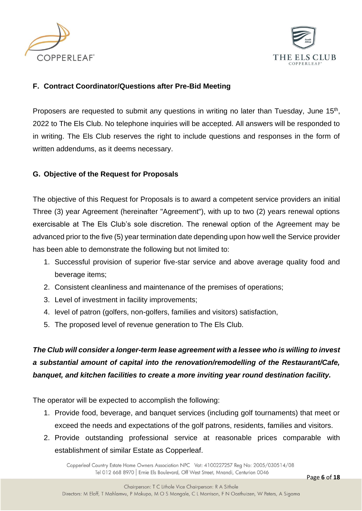



#### **F. Contract Coordinator/Questions after Pre-Bid Meeting**

Proposers are requested to submit any questions in writing no later than Tuesday, June 15<sup>th</sup>, 2022 to The Els Club. No telephone inquiries will be accepted. All answers will be responded to in writing. The Els Club reserves the right to include questions and responses in the form of written addendums, as it deems necessary.

#### **G. Objective of the Request for Proposals**

The objective of this Request for Proposals is to award a competent service providers an initial Three (3) year Agreement (hereinafter "Agreement"), with up to two (2) years renewal options exercisable at The Els Club's sole discretion. The renewal option of the Agreement may be advanced prior to the five (5) year termination date depending upon how well the Service provider has been able to demonstrate the following but not limited to:

- 1. Successful provision of superior five-star service and above average quality food and beverage items;
- 2. Consistent cleanliness and maintenance of the premises of operations;
- 3. Level of investment in facility improvements;
- 4. level of patron (golfers, non-golfers, families and visitors) satisfaction,
- 5. The proposed level of revenue generation to The Els Club.

*The Club will consider a longer-term lease agreement with a lessee who is willing to invest a substantial amount of capital into the renovation/remodelling of the Restaurant/Cafe, banquet, and kitchen facilities to create a more inviting year round destination facility.* 

The operator will be expected to accomplish the following:

- 1. Provide food, beverage, and banquet services (including golf tournaments) that meet or exceed the needs and expectations of the golf patrons, residents, families and visitors.
- 2. Provide outstanding professional service at reasonable prices comparable with establishment of similar Estate as Copperleaf.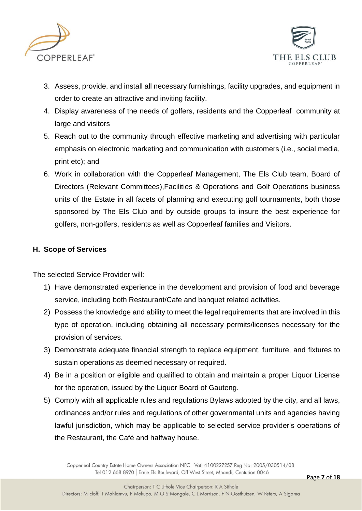



- 3. Assess, provide, and install all necessary furnishings, facility upgrades, and equipment in order to create an attractive and inviting facility.
- 4. Display awareness of the needs of golfers, residents and the Copperleaf community at large and visitors
- 5. Reach out to the community through effective marketing and advertising with particular emphasis on electronic marketing and communication with customers (i.e., social media, print etc); and
- 6. Work in collaboration with the Copperleaf Management, The Els Club team, Board of Directors (Relevant Committees),Facilities & Operations and Golf Operations business units of the Estate in all facets of planning and executing golf tournaments, both those sponsored by The Els Club and by outside groups to insure the best experience for golfers, non-golfers, residents as well as Copperleaf families and Visitors.

#### **H. Scope of Services**

The selected Service Provider will:

- 1) Have demonstrated experience in the development and provision of food and beverage service, including both Restaurant/Cafe and banquet related activities.
- 2) Possess the knowledge and ability to meet the legal requirements that are involved in this type of operation, including obtaining all necessary permits/licenses necessary for the provision of services.
- 3) Demonstrate adequate financial strength to replace equipment, furniture, and fixtures to sustain operations as deemed necessary or required.
- 4) Be in a position or eligible and qualified to obtain and maintain a proper Liquor License for the operation, issued by the Liquor Board of Gauteng.
- 5) Comply with all applicable rules and regulations Bylaws adopted by the city, and all laws, ordinances and/or rules and regulations of other governmental units and agencies having lawful jurisdiction, which may be applicable to selected service provider's operations of the Restaurant, the Café and halfway house.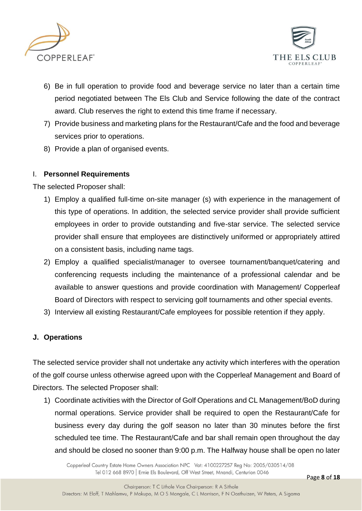



- 6) Be in full operation to provide food and beverage service no later than a certain time period negotiated between The Els Club and Service following the date of the contract award. Club reserves the right to extend this time frame if necessary.
- 7) Provide business and marketing plans for the Restaurant/Cafe and the food and beverage services prior to operations.
- 8) Provide a plan of organised events.

#### I. **Personnel Requirements**

The selected Proposer shall:

- 1) Employ a qualified full-time on-site manager (s) with experience in the management of this type of operations. In addition, the selected service provider shall provide sufficient employees in order to provide outstanding and five-star service. The selected service provider shall ensure that employees are distinctively uniformed or appropriately attired on a consistent basis, including name tags.
- 2) Employ a qualified specialist/manager to oversee tournament/banquet/catering and conferencing requests including the maintenance of a professional calendar and be available to answer questions and provide coordination with Management/ Copperleaf Board of Directors with respect to servicing golf tournaments and other special events.
- 3) Interview all existing Restaurant/Cafe employees for possible retention if they apply.

#### **J. Operations**

The selected service provider shall not undertake any activity which interferes with the operation of the golf course unless otherwise agreed upon with the Copperleaf Management and Board of Directors. The selected Proposer shall:

1) Coordinate activities with the Director of Golf Operations and CL Management/BoD during normal operations. Service provider shall be required to open the Restaurant/Cafe for business every day during the golf season no later than 30 minutes before the first scheduled tee time. The Restaurant/Cafe and bar shall remain open throughout the day and should be closed no sooner than 9:00 p.m. The Halfway house shall be open no later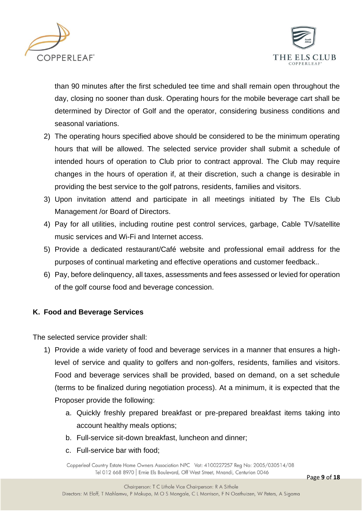



than 90 minutes after the first scheduled tee time and shall remain open throughout the day, closing no sooner than dusk. Operating hours for the mobile beverage cart shall be determined by Director of Golf and the operator, considering business conditions and seasonal variations.

- 2) The operating hours specified above should be considered to be the minimum operating hours that will be allowed. The selected service provider shall submit a schedule of intended hours of operation to Club prior to contract approval. The Club may require changes in the hours of operation if, at their discretion, such a change is desirable in providing the best service to the golf patrons, residents, families and visitors.
- 3) Upon invitation attend and participate in all meetings initiated by The Els Club Management /or Board of Directors.
- 4) Pay for all utilities, including routine pest control services, garbage, Cable TV/satellite music services and Wi-Fi and Internet access.
- 5) Provide a dedicated restaurant/Café website and professional email address for the purposes of continual marketing and effective operations and customer feedback..
- 6) Pay, before delinquency, all taxes, assessments and fees assessed or levied for operation of the golf course food and beverage concession.

#### **K. Food and Beverage Services**

The selected service provider shall:

- 1) Provide a wide variety of food and beverage services in a manner that ensures a highlevel of service and quality to golfers and non-golfers, residents, families and visitors. Food and beverage services shall be provided, based on demand, on a set schedule (terms to be finalized during negotiation process). At a minimum, it is expected that the Proposer provide the following:
	- a. Quickly freshly prepared breakfast or pre-prepared breakfast items taking into account healthy meals options;
	- b. Full-service sit-down breakfast, luncheon and dinner;
	- c. Full-service bar with food;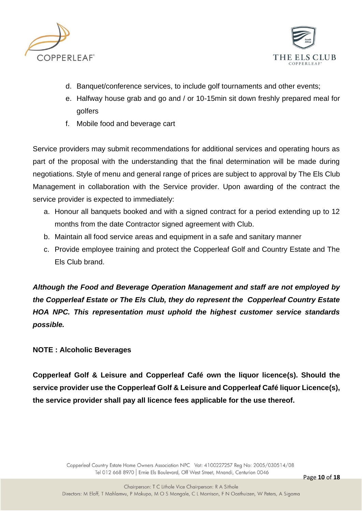



- d. Banquet/conference services, to include golf tournaments and other events;
- e. Halfway house grab and go and / or 10-15min sit down freshly prepared meal for golfers
- f. Mobile food and beverage cart

Service providers may submit recommendations for additional services and operating hours as part of the proposal with the understanding that the final determination will be made during negotiations. Style of menu and general range of prices are subject to approval by The Els Club Management in collaboration with the Service provider. Upon awarding of the contract the service provider is expected to immediately:

- a. Honour all banquets booked and with a signed contract for a period extending up to 12 months from the date Contractor signed agreement with Club.
- b. Maintain all food service areas and equipment in a safe and sanitary manner
- c. Provide employee training and protect the Copperleaf Golf and Country Estate and The Els Club brand.

*Although the Food and Beverage Operation Management and staff are not employed by the Copperleaf Estate or The Els Club, they do represent the Copperleaf Country Estate HOA NPC. This representation must uphold the highest customer service standards possible.* 

#### **NOTE : Alcoholic Beverages**

**Copperleaf Golf & Leisure and Copperleaf Café own the liquor licence(s). Should the service provider use the Copperleaf Golf & Leisure and Copperleaf Café liquor Licence(s), the service provider shall pay all licence fees applicable for the use thereof.**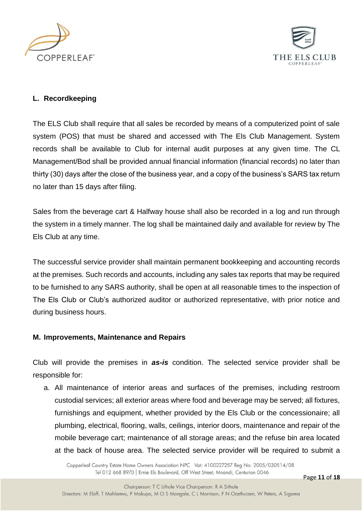



#### **L. Recordkeeping**

The ELS Club shall require that all sales be recorded by means of a computerized point of sale system (POS) that must be shared and accessed with The Els Club Management. System records shall be available to Club for internal audit purposes at any given time. The CL Management/Bod shall be provided annual financial information (financial records) no later than thirty (30) days after the close of the business year, and a copy of the business's SARS tax return no later than 15 days after filing.

Sales from the beverage cart & Halfway house shall also be recorded in a log and run through the system in a timely manner. The log shall be maintained daily and available for review by The Els Club at any time.

The successful service provider shall maintain permanent bookkeeping and accounting records at the premises. Such records and accounts, including any sales tax reports that may be required to be furnished to any SARS authority, shall be open at all reasonable times to the inspection of The Els Club or Club's authorized auditor or authorized representative, with prior notice and during business hours.

#### **M. Improvements, Maintenance and Repairs**

Club will provide the premises in *as-is* condition. The selected service provider shall be responsible for:

a. All maintenance of interior areas and surfaces of the premises, including restroom custodial services; all exterior areas where food and beverage may be served; all fixtures, furnishings and equipment, whether provided by the Els Club or the concessionaire; all plumbing, electrical, flooring, walls, ceilings, interior doors, maintenance and repair of the mobile beverage cart; maintenance of all storage areas; and the refuse bin area located at the back of house area. The selected service provider will be required to submit a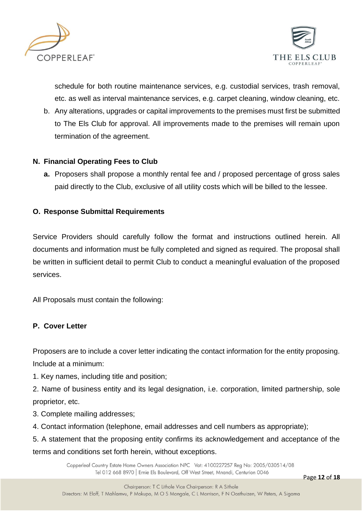



schedule for both routine maintenance services, e.g. custodial services, trash removal, etc. as well as interval maintenance services, e.g. carpet cleaning, window cleaning, etc.

b. Any alterations, upgrades or capital improvements to the premises must first be submitted to The Els Club for approval. All improvements made to the premises will remain upon termination of the agreement.

#### **N. Financial Operating Fees to Club**

**a.** Proposers shall propose a monthly rental fee and / proposed percentage of gross sales paid directly to the Club, exclusive of all utility costs which will be billed to the lessee.

#### **O. Response Submittal Requirements**

Service Providers should carefully follow the format and instructions outlined herein. All documents and information must be fully completed and signed as required. The proposal shall be written in sufficient detail to permit Club to conduct a meaningful evaluation of the proposed services.

All Proposals must contain the following:

#### **P. Cover Letter**

Proposers are to include a cover letter indicating the contact information for the entity proposing. Include at a minimum:

- 1. Key names, including title and position;
- 2. Name of business entity and its legal designation, i.e. corporation, limited partnership, sole proprietor, etc.
- 3. Complete mailing addresses;
- 4. Contact information (telephone, email addresses and cell numbers as appropriate);

5. A statement that the proposing entity confirms its acknowledgement and acceptance of the terms and conditions set forth herein, without exceptions.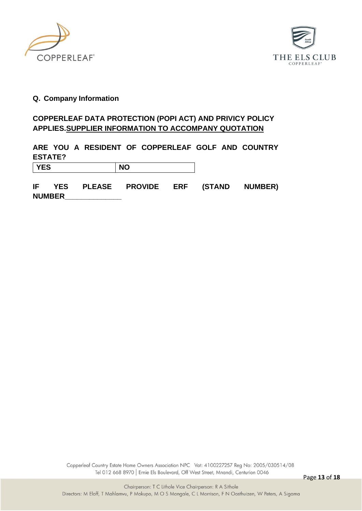



#### **Q. Company Information**

#### **COPPERLEAF DATA PROTECTION (POPI ACT) AND PRIVICY POLICY APPLIES.SUPPLIER INFORMATION TO ACCOMPANY QUOTATION**

### **ARE YOU A RESIDENT OF COPPERLEAF GOLF AND COUNTRY ESTATE?**

| <b>YES</b> | <b>NO</b> |
|------------|-----------|
|            |           |

**IF YES PLEASE PROVIDE ERF (STAND NUMBER) NUMBER\_\_\_\_\_\_\_\_\_\_\_\_\_\_**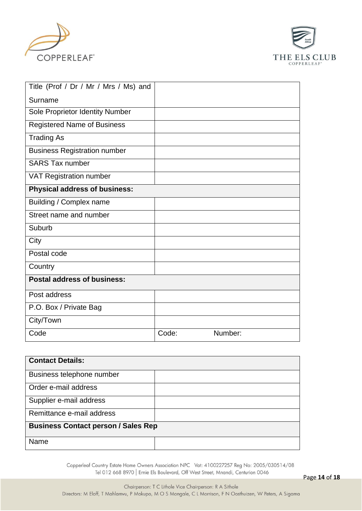



| Title (Prof / Dr / Mr / Mrs / Ms) and |       |         |  |
|---------------------------------------|-------|---------|--|
| Surname                               |       |         |  |
| Sole Proprietor Identity Number       |       |         |  |
| <b>Registered Name of Business</b>    |       |         |  |
| <b>Trading As</b>                     |       |         |  |
| <b>Business Registration number</b>   |       |         |  |
| <b>SARS Tax number</b>                |       |         |  |
| <b>VAT Registration number</b>        |       |         |  |
| <b>Physical address of business:</b>  |       |         |  |
| Building / Complex name               |       |         |  |
| Street name and number                |       |         |  |
| Suburb                                |       |         |  |
| City                                  |       |         |  |
| Postal code                           |       |         |  |
| Country                               |       |         |  |
| <b>Postal address of business:</b>    |       |         |  |
| Post address                          |       |         |  |
| P.O. Box / Private Bag                |       |         |  |
| City/Town                             |       |         |  |
| Code                                  | Code: | Number: |  |

| <b>Contact Details:</b>                    |  |  |
|--------------------------------------------|--|--|
| Business telephone number                  |  |  |
| Order e-mail address                       |  |  |
| Supplier e-mail address                    |  |  |
| Remittance e-mail address                  |  |  |
| <b>Business Contact person / Sales Rep</b> |  |  |
| Name                                       |  |  |
|                                            |  |  |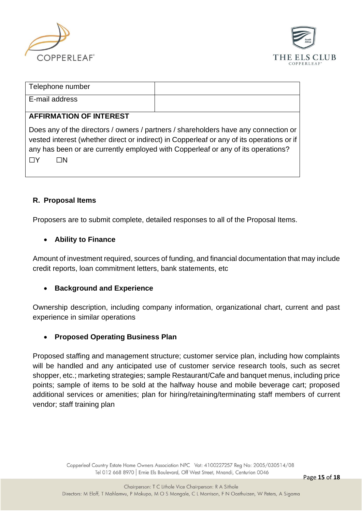



| Telephone number |  |
|------------------|--|
| E-mail address   |  |

#### **AFFIRMATION OF INTEREST**

Does any of the directors / owners / partners / shareholders have any connection or vested interest (whether direct or indirect) in Copperleaf or any of its operations or if any has been or are currently employed with Copperleaf or any of its operations? ☐Y ☐N

#### **R. Proposal Items**

Proposers are to submit complete, detailed responses to all of the Proposal Items.

#### • **Ability to Finance**

Amount of investment required, sources of funding, and financial documentation that may include credit reports, loan commitment letters, bank statements, etc

#### • **Background and Experience**

Ownership description, including company information, organizational chart, current and past experience in similar operations

#### • **Proposed Operating Business Plan**

Proposed staffing and management structure; customer service plan, including how complaints will be handled and any anticipated use of customer service research tools, such as secret shopper, etc.; marketing strategies; sample Restaurant/Cafe and banquet menus, including price points; sample of items to be sold at the halfway house and mobile beverage cart; proposed additional services or amenities; plan for hiring/retaining/terminating staff members of current vendor; staff training plan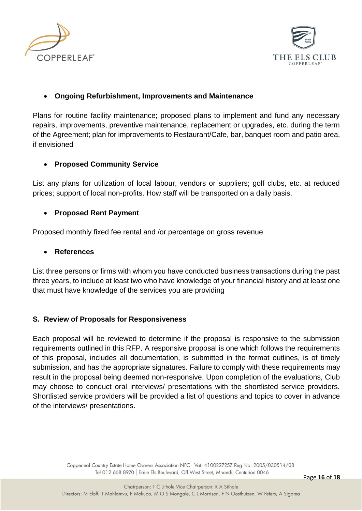



#### • **Ongoing Refurbishment, Improvements and Maintenance**

Plans for routine facility maintenance; proposed plans to implement and fund any necessary repairs, improvements, preventive maintenance, replacement or upgrades, etc. during the term of the Agreement; plan for improvements to Restaurant/Cafe, bar, banquet room and patio area, if envisioned

#### • **Proposed Community Service**

List any plans for utilization of local labour, vendors or suppliers; golf clubs, etc. at reduced prices; support of local non-profits. How staff will be transported on a daily basis.

#### • **Proposed Rent Payment**

Proposed monthly fixed fee rental and /or percentage on gross revenue

#### • **References**

List three persons or firms with whom you have conducted business transactions during the past three years, to include at least two who have knowledge of your financial history and at least one that must have knowledge of the services you are providing

#### **S. Review of Proposals for Responsiveness**

Each proposal will be reviewed to determine if the proposal is responsive to the submission requirements outlined in this RFP. A responsive proposal is one which follows the requirements of this proposal, includes all documentation, is submitted in the format outlines, is of timely submission, and has the appropriate signatures. Failure to comply with these requirements may result in the proposal being deemed non-responsive. Upon completion of the evaluations, Club may choose to conduct oral interviews/ presentations with the shortlisted service providers. Shortlisted service providers will be provided a list of questions and topics to cover in advance of the interviews/ presentations.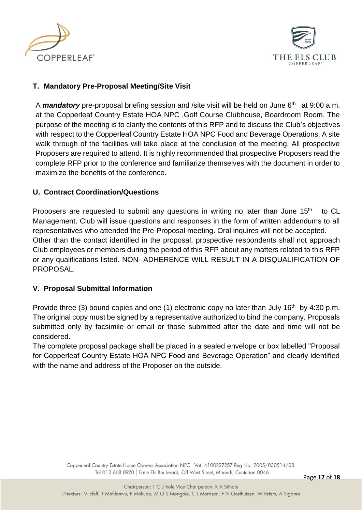



#### **T. Mandatory Pre-Proposal Meeting/Site Visit**

A **mandatory** pre-proposal briefing session and /site visit will be held on June 6<sup>th</sup> at 9:00 a.m. at the Copperleaf Country Estate HOA NPC ,Golf Course Clubhouse, Boardroom Room. The purpose of the meeting is to clarify the contents of this RFP and to discuss the Club's objectives with respect to the Copperleaf Country Estate HOA NPC Food and Beverage Operations. A site walk through of the facilities will take place at the conclusion of the meeting. All prospective Proposers are required to attend. It is highly recommended that prospective Proposers read the complete RFP prior to the conference and familiarize themselves with the document in order to maximize the benefits of the conference**.** 

#### **U. Contract Coordination/Questions**

Proposers are requested to submit any questions in writing no later than June  $15<sup>th</sup>$  to CL Management. Club will issue questions and responses in the form of written addendums to all representatives who attended the Pre-Proposal meeting. Oral inquires will not be accepted. Other than the contact identified in the proposal, prospective respondents shall not approach Club employees or members during the period of this RFP about any matters related to this RFP or any qualifications listed. NON- ADHERENCE WILL RESULT IN A DISQUALIFICATION OF PROPOSAL.

#### **V. Proposal Submittal Information**

Provide three (3) bound copies and one (1) electronic copy no later than July  $16<sup>th</sup>$  by 4:30 p.m. The original copy must be signed by a representative authorized to bind the company. Proposals submitted only by facsimile or email or those submitted after the date and time will not be considered.

The complete proposal package shall be placed in a sealed envelope or box labelled "Proposal for Copperleaf Country Estate HOA NPC Food and Beverage Operation" and clearly identified with the name and address of the Proposer on the outside.